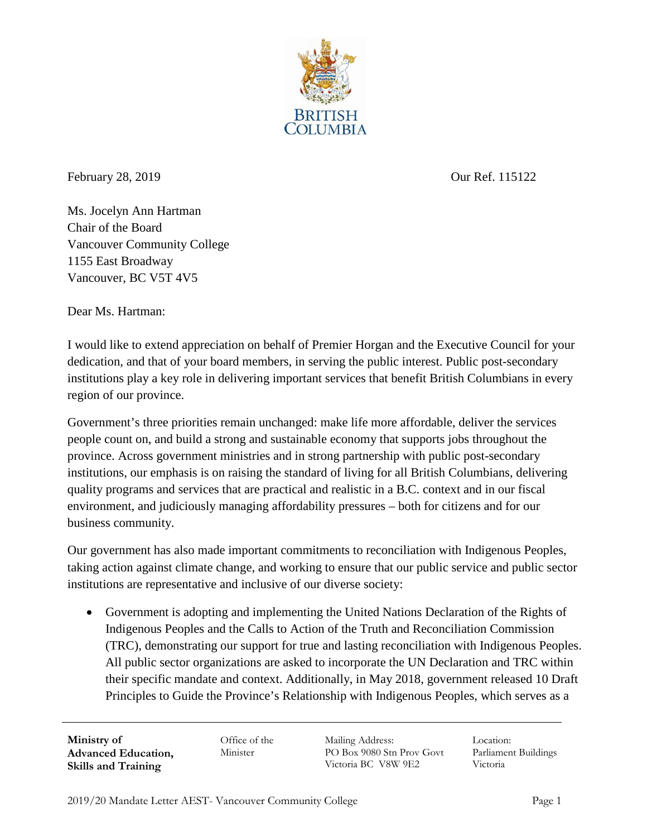

February 28, 2019 Our Ref. 115122

Ms. Jocelyn Ann Hartman Chair of the Board Vancouver Community College 1155 East Broadway Vancouver, BC V5T 4V5

Dear Ms. Hartman:

I would like to extend appreciation on behalf of Premier Horgan and the Executive Council for your dedication, and that of your board members, in serving the public interest. Public post-secondary institutions play a key role in delivering important services that benefit British Columbians in every region of our province.

Government's three priorities remain unchanged: make life more affordable, deliver the services people count on, and build a strong and sustainable economy that supports jobs throughout the province. Across government ministries and in strong partnership with public post-secondary institutions, our emphasis is on raising the standard of living for all British Columbians, delivering quality programs and services that are practical and realistic in a B.C. context and in our fiscal environment, and judiciously managing affordability pressures – both for citizens and for our business community.

Our government has also made important commitments to reconciliation with Indigenous Peoples, taking action against climate change, and working to ensure that our public service and public sector institutions are representative and inclusive of our diverse society:

• Government is adopting and implementing the United Nations Declaration of the Rights of Indigenous Peoples and the Calls to Action of the Truth and Reconciliation Commission (TRC), demonstrating our support for true and lasting reconciliation with Indigenous Peoples. All public sector organizations are asked to incorporate the UN Declaration and TRC within their specific mandate and context. Additionally, in May 2018, government released 10 Draft Principles to Guide the Province's Relationship with Indigenous Peoples, which serves as a

**Ministry of Advanced Education, Skills and Training**

Office of the Minister

Mailing Address: PO Box 9080 Stn Prov Govt Victoria BC V8W 9E2

Location: Parliament Buildings Victoria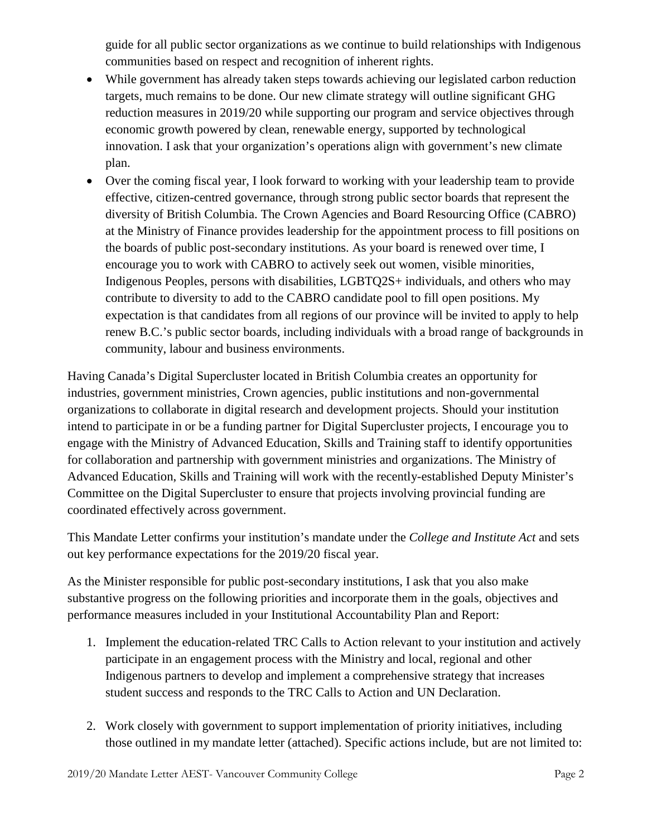guide for all public sector organizations as we continue to build relationships with Indigenous communities based on respect and recognition of inherent rights.

- While government has already taken steps towards achieving our legislated carbon reduction targets, much remains to be done. Our new climate strategy will outline significant GHG reduction measures in 2019/20 while supporting our program and service objectives through economic growth powered by clean, renewable energy, supported by technological innovation. I ask that your organization's operations align with government's new climate plan.
- Over the coming fiscal year, I look forward to working with your leadership team to provide effective, citizen-centred governance, through strong public sector boards that represent the diversity of British Columbia. The Crown Agencies and Board Resourcing Office (CABRO) at the Ministry of Finance provides leadership for the appointment process to fill positions on the boards of public post-secondary institutions. As your board is renewed over time, I encourage you to work with CABRO to actively seek out women, visible minorities, Indigenous Peoples, persons with disabilities, LGBTQ2S+ individuals, and others who may contribute to diversity to add to the CABRO candidate pool to fill open positions. My expectation is that candidates from all regions of our province will be invited to apply to help renew B.C.'s public sector boards, including individuals with a broad range of backgrounds in community, labour and business environments.

Having Canada's Digital Supercluster located in British Columbia creates an opportunity for industries, government ministries, Crown agencies, public institutions and non-governmental organizations to collaborate in digital research and development projects. Should your institution intend to participate in or be a funding partner for Digital Supercluster projects, I encourage you to engage with the Ministry of Advanced Education, Skills and Training staff to identify opportunities for collaboration and partnership with government ministries and organizations. The Ministry of Advanced Education, Skills and Training will work with the recently-established Deputy Minister's Committee on the Digital Supercluster to ensure that projects involving provincial funding are coordinated effectively across government.

This Mandate Letter confirms your institution's mandate under the *College and Institute Act* and sets out key performance expectations for the 2019/20 fiscal year.

As the Minister responsible for public post-secondary institutions, I ask that you also make substantive progress on the following priorities and incorporate them in the goals, objectives and performance measures included in your Institutional Accountability Plan and Report:

- 1. Implement the education-related TRC Calls to Action relevant to your institution and actively participate in an engagement process with the Ministry and local, regional and other Indigenous partners to develop and implement a comprehensive strategy that increases student success and responds to the TRC Calls to Action and UN Declaration.
- 2. Work closely with government to support implementation of priority initiatives, including those outlined in my mandate letter (attached). Specific actions include, but are not limited to: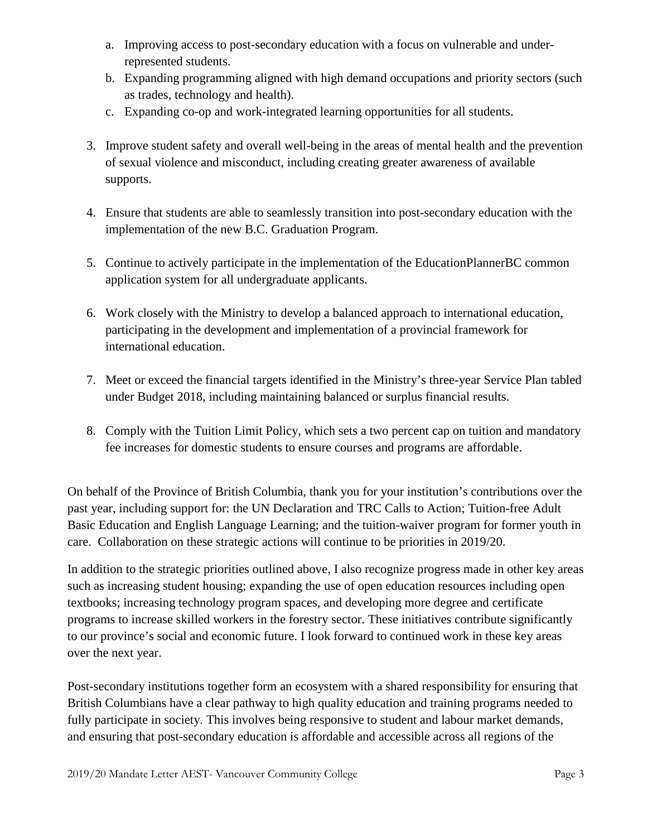- a. Improving access to post-secondary education with a focus on vulnerable and underrepresented students.
- b. Expanding programming aligned with high demand occupations and priority sectors (such as trades, technology and health).
- c. Expanding co-op and work-integrated learning opportunities for all students.
- 3. Improve student safety and overall well-being in the areas of mental health and the prevention of sexual violence and misconduct, including creating greater awareness of available supports.
- 4. Ensure that students are able to seamlessly transition into post-secondary education with the implementation of the new B.C. Graduation Program.
- 5. Continue to actively participate in the implementation of the EducationPlannerBC common application system for all undergraduate applicants.
- 6. Work closely with the Ministry to develop a balanced approach to international education, participating in the development and implementation of a provincial framework for international education.
- 7. Meet or exceed the financial targets identified in the Ministry's three-year Service Plan tabled under Budget 2018, including maintaining balanced or surplus financial results.
- 8. Comply with the Tuition Limit Policy, which sets a two percent cap on tuition and mandatory fee increases for domestic students to ensure courses and programs are affordable.

On behalf of the Province of British Columbia, thank you for your institution's contributions over the past year, including support for: the UN Declaration and TRC Calls to Action; Tuition-free Adult Basic Education and English Language Learning; and the tuition-waiver program for former youth in care. Collaboration on these strategic actions will continue to be priorities in 2019/20.

In addition to the strategic priorities outlined above, I also recognize progress made in other key areas such as increasing student housing; expanding the use of open education resources including open textbooks; increasing technology program spaces, and developing more degree and certificate programs to increase skilled workers in the forestry sector. These initiatives contribute significantly to our province's social and economic future. I look forward to continued work in these key areas over the next year.

Post-secondary institutions together form an ecosystem with a shared responsibility for ensuring that British Columbians have a clear pathway to high quality education and training programs needed to fully participate in society. This involves being responsive to student and labour market demands, and ensuring that post-secondary education is affordable and accessible across all regions of the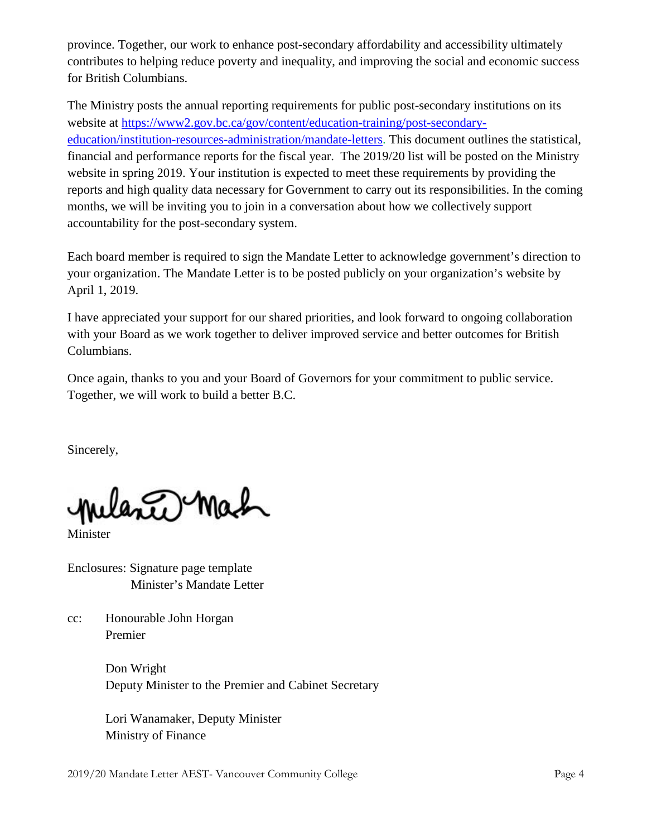province. Together, our work to enhance post-secondary affordability and accessibility ultimately contributes to helping reduce poverty and inequality, and improving the social and economic success for British Columbians.

The Ministry posts the annual reporting requirements for public post-secondary institutions on its website at [https://www2.gov.bc.ca/gov/content/education-training/post-secondary](https://www2.gov.bc.ca/gov/content/education-training/post-secondary-education/institution-resources-administration/mandate-letters)[education/institution-resources-administration/mandate-letters.](https://www2.gov.bc.ca/gov/content/education-training/post-secondary-education/institution-resources-administration/mandate-letters) This document outlines the statistical, financial and performance reports for the fiscal year. The 2019/20 list will be posted on the Ministry website in spring 2019. Your institution is expected to meet these requirements by providing the reports and high quality data necessary for Government to carry out its responsibilities. In the coming months, we will be inviting you to join in a conversation about how we collectively support accountability for the post-secondary system.

Each board member is required to sign the Mandate Letter to acknowledge government's direction to your organization. The Mandate Letter is to be posted publicly on your organization's website by April 1, 2019.

I have appreciated your support for our shared priorities, and look forward to ongoing collaboration with your Board as we work together to deliver improved service and better outcomes for British Columbians.

Once again, thanks to you and your Board of Governors for your commitment to public service. Together, we will work to build a better B.C.

Sincerely,

lante Mah

Minister

Enclosures: Signature page template Minister's Mandate Letter

cc: Honourable John Horgan Premier

> Don Wright Deputy Minister to the Premier and Cabinet Secretary

Lori Wanamaker, Deputy Minister Ministry of Finance

2019/20 Mandate Letter AEST- Vancouver Community College Page 4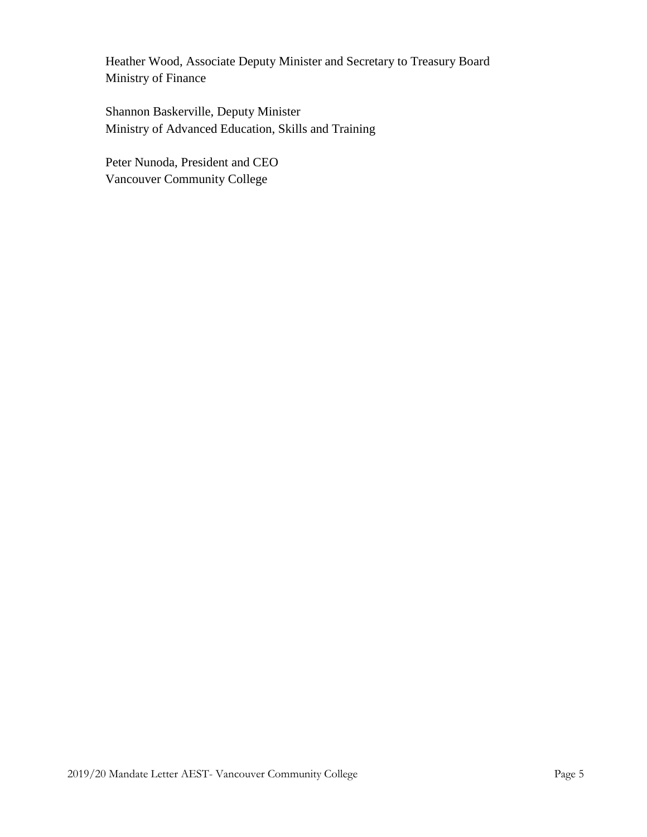Heather Wood, Associate Deputy Minister and Secretary to Treasury Board Ministry of Finance

Shannon Baskerville, Deputy Minister Ministry of Advanced Education, Skills and Training

Peter Nunoda, President and CEO Vancouver Community College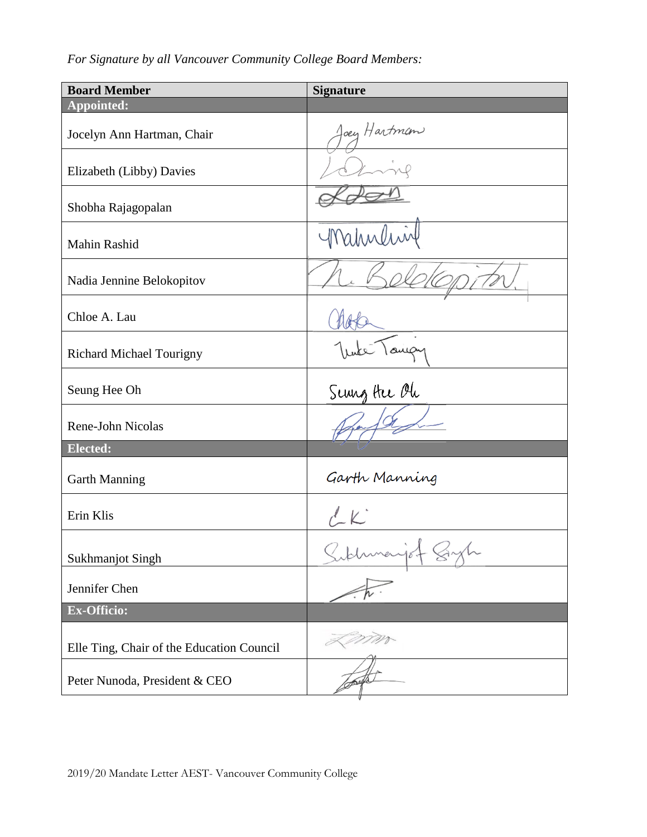*For Signature by all Vancouver Community College Board Members:*

| <b>Board Member</b>                       | <b>Signature</b>   |
|-------------------------------------------|--------------------|
| Appointed:                                |                    |
| Jocelyn Ann Hartman, Chair                | oey Hartman        |
| Elizabeth (Libby) Davies                  |                    |
| Shobha Rajagopalan                        |                    |
| Mahin Rashid                              | Mahnlin            |
| Nadia Jennine Belokopitov                 |                    |
| Chloe A. Lau                              |                    |
| <b>Richard Michael Tourigny</b>           |                    |
| Seung Hee Oh                              | Senng Hee Oh       |
| <b>Rene-John Nicolas</b>                  |                    |
| Elected:                                  |                    |
| <b>Garth Manning</b>                      | Garth Manning      |
| Erin Klis                                 |                    |
| <b>Sukhmanjot Singh</b>                   | iof Byl<br>folumen |
| Jennifer Chen                             |                    |
| <b>Ex-Officio:</b>                        |                    |
| Elle Ting, Chair of the Education Council | m                  |
| Peter Nunoda, President & CEO             |                    |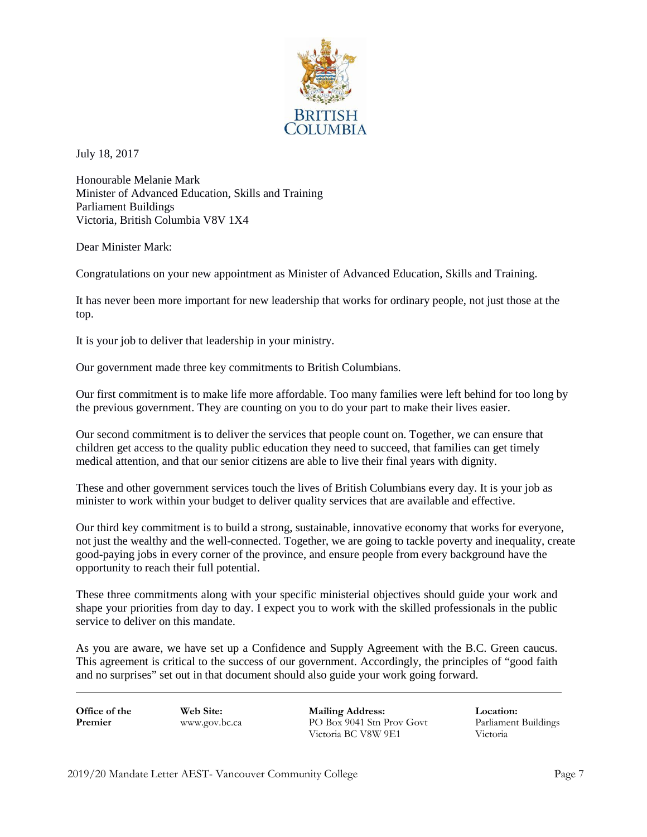

July 18, 2017

Honourable Melanie Mark Minister of Advanced Education, Skills and Training Parliament Buildings Victoria, British Columbia V8V 1X4

Dear Minister Mark:

Congratulations on your new appointment as Minister of Advanced Education, Skills and Training.

It has never been more important for new leadership that works for ordinary people, not just those at the top.

It is your job to deliver that leadership in your ministry.

Our government made three key commitments to British Columbians.

Our first commitment is to make life more affordable. Too many families were left behind for too long by the previous government. They are counting on you to do your part to make their lives easier.

Our second commitment is to deliver the services that people count on. Together, we can ensure that children get access to the quality public education they need to succeed, that families can get timely medical attention, and that our senior citizens are able to live their final years with dignity.

These and other government services touch the lives of British Columbians every day. It is your job as minister to work within your budget to deliver quality services that are available and effective.

Our third key commitment is to build a strong, sustainable, innovative economy that works for everyone, not just the wealthy and the well-connected. Together, we are going to tackle poverty and inequality, create good-paying jobs in every corner of the province, and ensure people from every background have the opportunity to reach their full potential.

These three commitments along with your specific ministerial objectives should guide your work and shape your priorities from day to day. I expect you to work with the skilled professionals in the public service to deliver on this mandate.

As you are aware, we have set up a Confidence and Supply Agreement with the B.C. Green caucus. This agreement is critical to the success of our government. Accordingly, the principles of "good faith and no surprises" set out in that document should also guide your work going forward.

**Office of the Premier**

**Web Site:** [www.gov.bc.ca](http://www.gov.bc.ca/) **Mailing Address:** PO Box 9041 Stn Prov Govt Victoria BC V8W 9E1 Victoria

**Location:** Parliament Buildings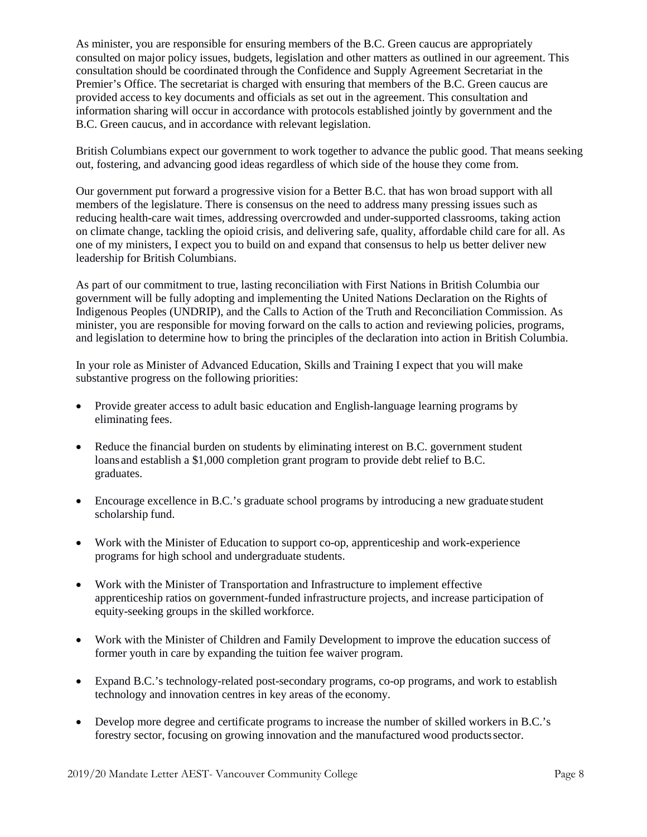As minister, you are responsible for ensuring members of the B.C. Green caucus are appropriately consulted on major policy issues, budgets, legislation and other matters as outlined in our agreement. This consultation should be coordinated through the Confidence and Supply Agreement Secretariat in the Premier's Office. The secretariat is charged with ensuring that members of the B.C. Green caucus are provided access to key documents and officials as set out in the agreement. This consultation and information sharing will occur in accordance with protocols established jointly by government and the B.C. Green caucus, and in accordance with relevant legislation.

British Columbians expect our government to work together to advance the public good. That means seeking out, fostering, and advancing good ideas regardless of which side of the house they come from.

Our government put forward a progressive vision for a Better B.C. that has won broad support with all members of the legislature. There is consensus on the need to address many pressing issues such as reducing health-care wait times, addressing overcrowded and under-supported classrooms, taking action on climate change, tackling the opioid crisis, and delivering safe, quality, affordable child care for all. As one of my ministers, I expect you to build on and expand that consensus to help us better deliver new leadership for British Columbians.

As part of our commitment to true, lasting reconciliation with First Nations in British Columbia our government will be fully adopting and implementing the United Nations Declaration on the Rights of Indigenous Peoples (UNDRIP), and the Calls to Action of the Truth and Reconciliation Commission. As minister, you are responsible for moving forward on the calls to action and reviewing policies, programs, and legislation to determine how to bring the principles of the declaration into action in British Columbia.

In your role as Minister of Advanced Education, Skills and Training I expect that you will make substantive progress on the following priorities:

- Provide greater access to adult basic education and English-language learning programs by eliminating fees.
- Reduce the financial burden on students by eliminating interest on B.C. government student loans and establish a \$1,000 completion grant program to provide debt relief to B.C. graduates.
- Encourage excellence in B.C.'s graduate school programs by introducing a new graduate student scholarship fund.
- Work with the Minister of Education to support co-op, apprenticeship and work-experience programs for high school and undergraduate students.
- Work with the Minister of Transportation and Infrastructure to implement effective apprenticeship ratios on government-funded infrastructure projects, and increase participation of equity-seeking groups in the skilled workforce.
- Work with the Minister of Children and Family Development to improve the education success of former youth in care by expanding the tuition fee waiver program.
- Expand B.C.'s technology-related post-secondary programs, co-op programs, and work to establish technology and innovation centres in key areas of the economy.
- Develop more degree and certificate programs to increase the number of skilled workers in B.C.'s forestry sector, focusing on growing innovation and the manufactured wood productssector.